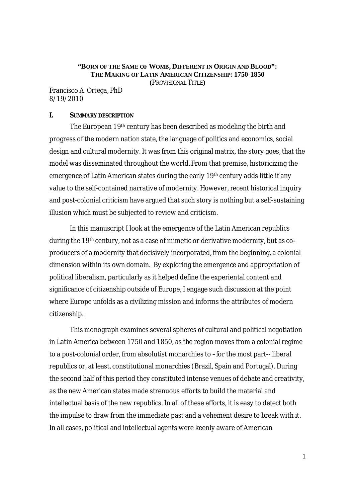# **"BORN OF THE SAME OF WOMB, DIFFERENT IN ORIGIN AND BLOOD": THE MAKING OF LATIN AMERICAN CITIZENSHIP: 1750-1850**

**(**PROVISIONAL TITLE**)**

Francisco A. Ortega, PhD 8/19/2010

#### **I. SUMMARY DESCRIPTION**

The European 19th century has been described as modeling the birth and progress of the modern nation state, the language of politics and economics, social design and cultural modernity. It was from this original matrix, the story goes, that the model was disseminated throughout the world. From that premise, historicizing the emergence of Latin American states during the early 19th century adds little if any value to the self-contained narrative of modernity. However, recent historical inquiry and post-colonial criticism have argued that such story is nothing but a self-sustaining illusion which must be subjected to review and criticism.

In this manuscript I look at the emergence of the Latin American republics during the 19th century, not as a case of mimetic or derivative modernity, but as coproducers of a modernity that decisively incorporated, from the beginning, a colonial dimension within its own domain. By exploring the emergence and appropriation of political liberalism, particularly as it helped define the experiental content and significance of citizenship outside of Europe, I engage such discussion at the point where Europe unfolds as a civilizing mission and informs the attributes of modern citizenship.

This monograph examines several spheres of cultural and political negotiation in Latin America between 1750 and 1850, as the region moves from a colonial regime to a post-colonial order, from absolutist monarchies to –for the most part-- liberal republics or, at least, constitutional monarchies (Brazil, Spain and Portugal). During the second half of this period they constituted intense venues of debate and creativity, as the new American states made strenuous efforts to build the material and intellectual basis of the new republics. In all of these efforts, it is easy to detect both the impulse to draw from the immediate past and a vehement desire to break with it. In all cases, political and intellectual agents were keenly aware of American

1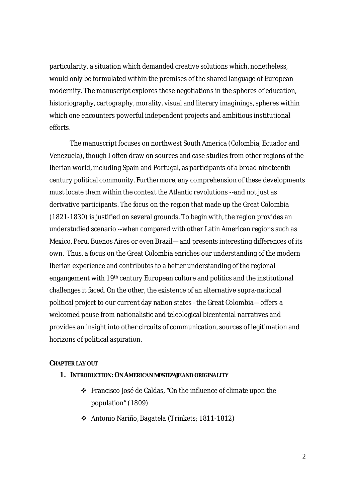particularity, a situation which demanded creative solutions which, nonetheless, would only be formulated within the premises of the shared language of European modernity. The manuscript explores these negotiations in the spheres of education, historiography, cartography, morality, visual and literary imaginings, spheres within which one encounters powerful independent projects and ambitious institutional efforts.

The manuscript focuses on northwest South America (Colombia, Ecuador and Venezuela), though I often draw on sources and case studies from other regions of the Iberian world, including Spain and Portugal, as participants of a broad nineteenth century political community. Furthermore, any comprehension of these developments must locate them within the context the Atlantic revolutions --and not just as derivative participants. The focus on the region that made up the Great Colombia (1821-1830) is justified on several grounds. To begin with, the region provides an understudied scenario --when compared with other Latin American regions such as Mexico, Peru, Buenos Aires or even Brazil—and presents interesting differences of its own. Thus, a focus on the Great Colombia enriches our understanding of the modern Iberian experience and contributes to a better understanding of the regional engangement with 19th century European culture and politics and the institutional challenges it faced. On the other, the existence of an alternative supra-national political project to our current day nation states –the Great Colombia—offers a welcomed pause from nationalistic and teleological bicentenial narratives and provides an insight into other circuits of communication, sources of legitimation and horizons of political aspiration.

# **CHAPTER LAY OUT**

- **1. INTRODUCTION:ON AMERICAN** *MESTIZAJE* **AND ORIGINALITY**
	- Francisco José de Caldas, "On the influence of climate upon the population" (1809)
	- Antonio Nariño, *Bagatela* (Trinkets; 1811-1812)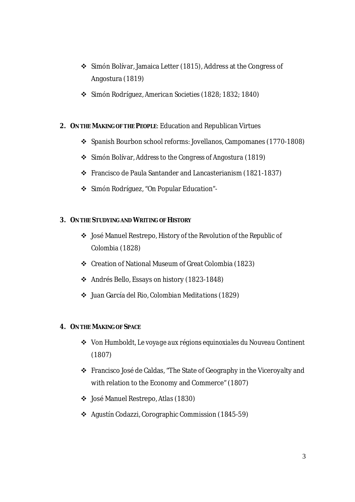- Simón Bolívar, Jamaica Letter (1815), Address at the Congress of Angostura (1819)
- Simón Rodríguez, *American Societies* (1828; 1832; 1840)
- **2. ON THE MAKING OF THE PEOPLE**: Education and Republican Virtues
	- Spanish Bourbon school reforms: Jovellanos, Campomanes (1770-1808)
	- Simón Bolívar, *Address to the Congress of Angostura* (1819)
	- Francisco de Paula Santander and Lancasterianism (1821-1837)
	- Simón Rodríguez, "On Popular Education"-
- **3. ON THE STUDYING AND WRITING OF HISTORY** 
	- José Manuel Restrepo*, History of the Revolution of the Republic of Colombia* (1828)
	- Creation of National Museum of Great Colombia (1823)
	- Andrés Bello, Essays on history (1823-1848)
	- Juan García del Rio, *Colombian Meditations* (1829)
- **4. ON THE MAKING OF SPACE**
	- Von Humboldt, *Le voyage aux régions equinoxiales du Nouveau Continent* (1807)
	- Francisco José de Caldas, "The State of Geography in the Viceroyalty and with relation to the Economy and Commerce" (1807)
	- José Manuel Restrepo, *Atlas* (1830)
	- Agustín Codazzi, Corographic Commission (1845-59)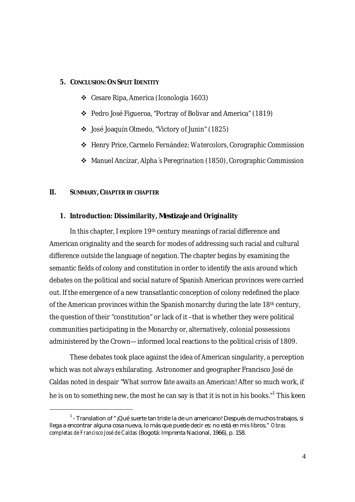#### **5. CONCLUSION:ON SPLIT IDENTITY**

- Cesare Ripa, America (*Iconologia* 1603)
- Pedro José Figueroa, "Portray of Bolivar and America" (1819)
- José Joaquín Olmedo, "Victory of Junin" (1825)
- Henry Price, Carmelo Fernández: *Watercolors*, Corographic Commission
- Manuel Ancízar, *Alpha´s Peregrination* (1850), Corographic Commission

#### **II. SUMMARY, CHAPTER BY CHAPTER**

 $\overline{a}$ 

# **1. Introduction: Dissimilarity,** *Mestizaje* **and Originality**

In this chapter, I explore 19<sup>th</sup> century meanings of racial difference and American originality and the search for modes of addressing such racial and cultural difference outside the language of negation. The chapter begins by examining the semantic fields of colony and constitution in order to identify the axis around which debates on the political and social nature of Spanish American provinces were carried out. If the emergence of a new transatlantic conception of colony redefined the place of the American provinces within the Spanish monarchy during the late 18<sup>th</sup> century, the question of their "constitution" or lack of it –that is whether they were political communities participating in the Monarchy or, alternatively, colonial possessions administered by the Crown—informed local reactions to the political crisis of 1809.

These debates took place against the idea of American singularity, a perception which was not always exhilarating. Astronomer and geographer Francisco José de Caldas noted in despair "What sorrow fate awaits an American! After so much work, if he is on to something new, the most he can say is that it is not in his books." $^1$  This keen

 $^{\text{\tiny{\textsf{1}}}}$  - Translation of "¡Qué suerte tan triste la de un americano! Después de muchos trabajos, si llega a encontrar alguna cosa nueva, lo más que puede decir es: no está en mis libros." *Obras completas de Francisco José de Caldas* (Bogotá: Imprenta Nacional, 1966), p. 158.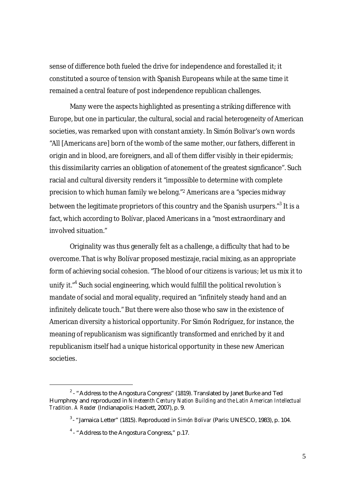sense of difference both fueled the drive for independence and forestalled it; it constituted a source of tension with Spanish Europeans while at the same time it remained a central feature of post independence republican challenges.

Many were the aspects highlighted as presenting a striking difference with Europe, but one in particular, the cultural, social and racial heterogeneity of American societies, was remarked upon with constant anxiety. In Simón Bolivar's own words "All [Americans are] born of the womb of the same mother, our fathers, different in origin and in blood, are foreigners, and all of them differ visibly in their epidermis; this dissimilarity carries an obligation of atonement of the greatest signficance". Such racial and cultural diversity renders it "impossible to determine with complete precision to which human family we belong."2 Americans are a "species midway between the legitimate proprietors of this country and the Spanish usurpers."<sup>3</sup> It is a fact, which according to Bolívar, placed Americans in a "most extraordinary and involved situation."

Originality was thus generally felt as a challenge, a difficulty that had to be overcome. That is why Bolívar proposed mestizaje, racial mixing, as an appropriate form of achieving social cohesion. "The blood of our citizens is various; let us mix it to unify it."<sup>4</sup> Such social engineering, which would fulfill the political revolution´s mandate of social and moral equality, required an "infinitely steady hand and an infinitely delicate touch." But there were also those who saw in the existence of American diversity a historical opportunity. For Simón Rodríguez, for instance, the meaning of republicanism was significantly transformed and enriched by it and republicanism itself had a unique historical opportunity in these new American societies.

1

 $^2$  - "Address to the Angostura Congress" (1819). Translated by Janet Burke and Ted Humphrey and reproduced in *Nineteenth Century Nation Building and the Latin American Intellectual Tradition. A Reader* (Indianapolis: Hackett, 2007), p. 9.

<sup>3</sup>- "Jamaica Letter" (1815). Reproduced in *Simón Bolívar* (Paris: UNESCO, 1983), p. 104.

<sup>&</sup>lt;sup>4</sup> - "Address to the Angostura Congress," p.17.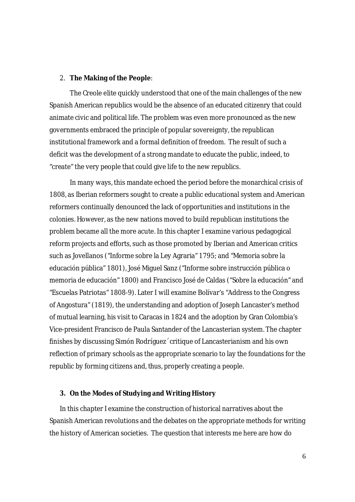#### 2. **The Making of the People**:

The Creole elite quickly understood that one of the main challenges of the new Spanish American republics would be the absence of an educated citizenry that could animate civic and political life. The problem was even more pronounced as the new governments embraced the principle of popular sovereignty, the republican institutional framework and a formal definition of freedom. The result of such a deficit was the development of a strong mandate to educate the public, indeed, to "create" the very people that could give life to the new republics.

In many ways, this mandate echoed the period before the monarchical crisis of 1808, as Iberian reformers sought to create a public educational system and American reformers continually denounced the lack of opportunities and institutions in the colonies. However, as the new nations moved to build republican institutions the problem became all the more acute. In this chapter I examine various pedagogical reform projects and efforts, such as those promoted by Iberian and American critics such as Jovellanos ("Informe sobre la Ley Agraria" 1795; and "Memoria sobre la educación pública" 1801), José Miguel Sanz ("Informe sobre instrucción pública o memoria de educación" 1800) and Francisco José de Caldas ("Sobre la educación" and "Escuelas Patriotas" 1808-9). Later I will examine Bolívar's "Address to the Congress of Angostura" (1819), the understanding and adoption of Joseph Lancaster's method of mutual learning, his visit to Caracas in 1824 and the adoption by Gran Colombia's Vice-president Francisco de Paula Santander of the Lancasterian system. The chapter finishes by discussing Simón Rodríguez´ critique of Lancasterianism and his own reflection of primary schools as the appropriate scenario to lay the foundations for the republic by forming citizens and, thus, properly creating a people.

#### **3. On the Modes of Studying and Writing History**

In this chapter I examine the construction of historical narratives about the Spanish American revolutions and the debates on the appropriate methods for writing the history of American societies. The question that interests me here are how do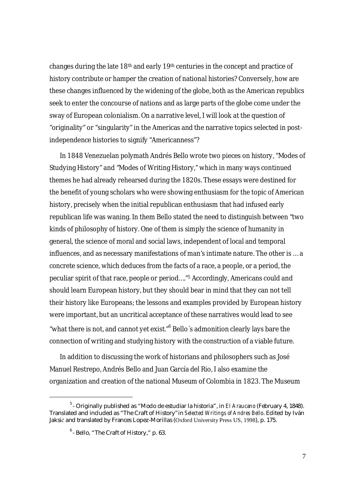changes during the late 18<sup>th</sup> and early 19<sup>th</sup> centuries in the concept and practice of history contribute or hamper the creation of national histories? Conversely, how are these changes influenced by the widening of the globe, both as the American republics seek to enter the concourse of nations and as large parts of the globe come under the sway of European colonialism. On a narrative level, I will look at the question of "originality" or "singularity" in the Americas and the narrative topics selected in postindependence histories to signify "Americanness"?

In 1848 Venezuelan polymath Andrés Bello wrote two pieces on history, "Modes of Studying History" and "Modes of Writing History," which in many ways continued themes he had already rehearsed during the 1820s. These essays were destined for the benefit of young scholars who were showing enthusiasm for the topic of American history, precisely when the initial republican enthusiasm that had infused early republican life was waning. In them Bello stated the need to distinguish between "two kinds of philosophy of history. One of them is simply the science of humanity in general, the science of moral and social laws, independent of local and temporal influences, and as necessary manifestations of man's intimate nature. The other is … a concrete science, which deduces from the facts of a race, a people, or a period, the peculiar spirit of that race, people or period…."5 Accordingly, Americans could and should learn European history, but they should bear in mind that they can not tell their history like Europeans; the lessons and examples provided by European history were important, but an uncritical acceptance of these narratives would lead to see "what there is not, and cannot yet exist."<sup>6</sup> Bello's admonition clearly lays bare the connection of writing and studying history with the construction of a viable future.

In addition to discussing the work of historians and philosophers such as José Manuel Restrepo, Andrés Bello and Juan García del Rio, I also examine the organization and creation of the national Museum of Colombia in 1823. The Museum

-

<sup>5</sup> - Originally published as "Modo de estudiar la historia", in *El Araucano* (February 4, 1848). Translated and included as "The Craft of History"in *Selected Writings of Andres Bello*. Edited by Iván Jaksić and translated by Frances Lopez-Morillas (Oxford University Press US, 1998), p. 175.

 $<sup>6</sup>$ - Bello, "The Craft of History," p. 63.</sup>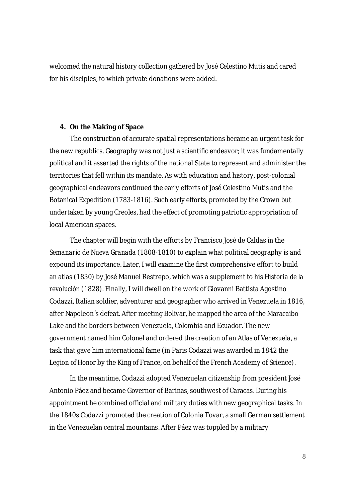welcomed the natural history collection gathered by José Celestino Mutis and cared for his disciples, to which private donations were added.

# **4. On the Making of Space**

The construction of accurate spatial representations became an urgent task for the new republics. Geography was not just a scientific endeavor; it was fundamentally political and it asserted the rights of the national State to represent and administer the territories that fell within its mandate. As with education and history, post-colonial geographical endeavors continued the early efforts of José Celestino Mutis and the Botanical Expedition (1783-1816). Such early efforts, promoted by the Crown but undertaken by young Creoles, had the effect of promoting patriotic appropriation of local American spaces.

The chapter will begin with the efforts by Francisco José de Caldas in the *Semanario de Nueva Granada* (1808-1810) to explain what political geography is and expound its importance. Later, I will examine the first comprehensive effort to build an atlas (1830) by José Manuel Restrepo, which was a supplement to his *Historia de la revolución* (1828). Finally, I will dwell on the work of Giovanni Battista Agostino Codazzi, Italian soldier, adventurer and geographer who arrived in Venezuela in 1816, after Napoleon´s defeat. After meeting Bolivar, he mapped the area of the Maracaibo Lake and the borders between Venezuela, Colombia and Ecuador. The new government named him Colonel and ordered the creation of an *Atlas of Venezuela*, a task that gave him international fame (in Paris Codazzi was awarded in 1842 the *Legion of Honor* by the King of France, on behalf of the French Academy of Science).

In the meantime, Codazzi adopted Venezuelan citizenship from president José Antonio Páez and became Governor of Barinas, southwest of Caracas. During his appointment he combined official and military duties with new geographical tasks. In the 1840s Codazzi promoted the creation of Colonia Tovar, a small German settlement in the Venezuelan central mountains. After Páez was toppled by a military